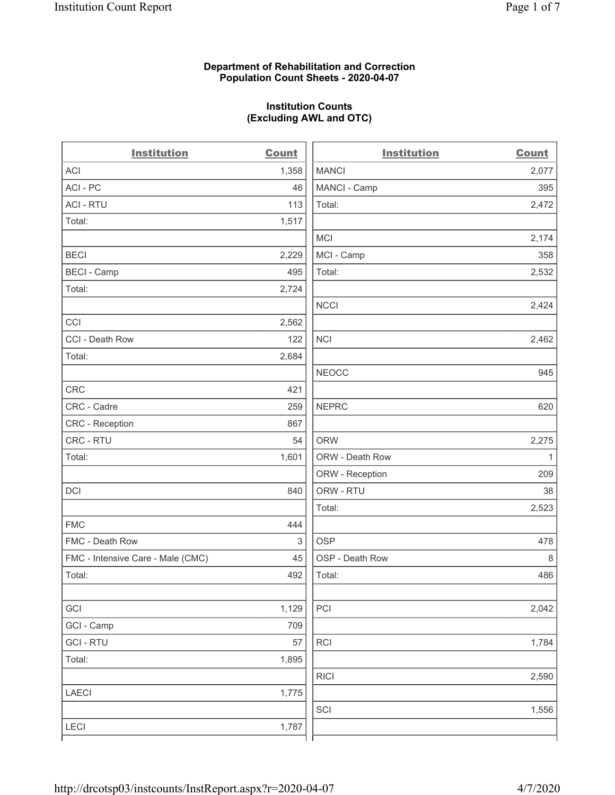## **Department of Rehabilitation and Correction Population Count Sheets - 2020-04-07**

# **Institution Counts (Excluding AWL and OTC)**

 $\overline{a}$ 

| <b>Institution</b>                | <b>Count</b> | <b>Institution</b> | <b>Count</b> |
|-----------------------------------|--------------|--------------------|--------------|
| <b>ACI</b>                        | 1,358        | <b>MANCI</b>       | 2,077        |
| ACI-PC                            | 46           | MANCI - Camp       | 395          |
| <b>ACI - RTU</b>                  | 113          | Total:             | 2,472        |
| Total:                            | 1,517        |                    |              |
|                                   |              | MCI                | 2,174        |
| <b>BECI</b>                       | 2,229        | MCI - Camp         | 358          |
| <b>BECI - Camp</b>                | 495          | Total:             | 2,532        |
| Total:                            | 2,724        |                    |              |
|                                   |              | <b>NCCI</b>        | 2,424        |
| CCI                               | 2,562        |                    |              |
| CCI - Death Row                   | 122          | <b>NCI</b>         | 2,462        |
| Total:                            | 2,684        |                    |              |
|                                   |              | <b>NEOCC</b>       | 945          |
| <b>CRC</b>                        | 421          |                    |              |
| CRC - Cadre                       | 259          | <b>NEPRC</b>       | 620          |
| CRC - Reception                   | 867          |                    |              |
| CRC - RTU                         | 54           | <b>ORW</b>         | 2,275        |
| Total:                            | 1,601        | ORW - Death Row    | $\mathbf{1}$ |
|                                   |              | ORW - Reception    | 209          |
| DCI                               | 840          | ORW - RTU          | 38           |
|                                   |              | Total:             | 2,523        |
| <b>FMC</b>                        | 444          |                    |              |
| FMC - Death Row                   | 3            | <b>OSP</b>         | 478          |
| FMC - Intensive Care - Male (CMC) | 45           | OSP - Death Row    | 8            |
| Total:                            | 492          | Total:             | 486          |
|                                   |              |                    |              |
| GCI                               | 1,129        | PCI                | 2,042        |
| GCI - Camp                        | 709          |                    |              |
| <b>GCI-RTU</b>                    | 57           | <b>RCI</b>         | 1,784        |
| Total:                            | 1,895        |                    |              |
|                                   |              | <b>RICI</b>        | 2,590        |
| <b>LAECI</b>                      | 1,775        |                    |              |
|                                   |              | SCI                | 1,556        |
| <b>LECI</b>                       | 1,787        |                    |              |
|                                   |              |                    |              |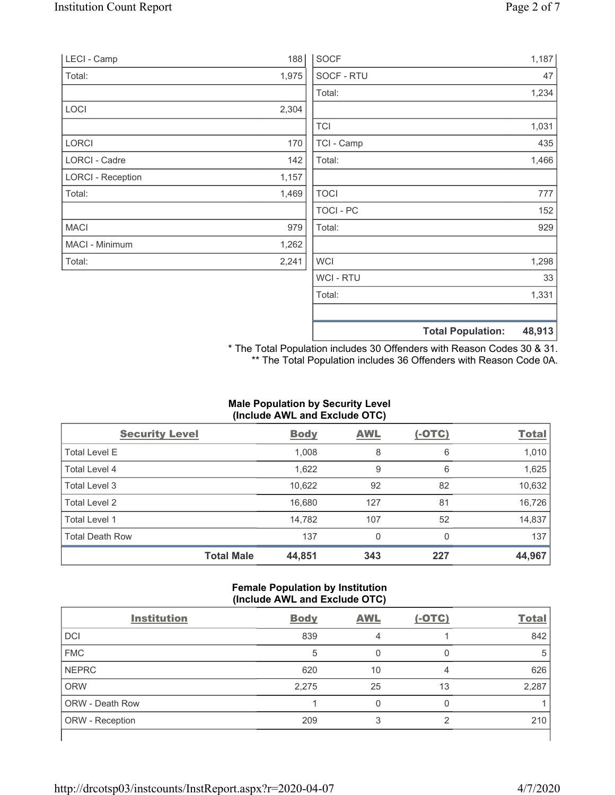| LECI - Camp              | 188   | <b>SOCF</b>    | 1,187                              |
|--------------------------|-------|----------------|------------------------------------|
| Total:                   | 1,975 | SOCF - RTU     | 47                                 |
|                          |       | Total:         | 1,234                              |
| LOCI                     | 2,304 |                |                                    |
|                          |       | <b>TCI</b>     | 1,031                              |
| <b>LORCI</b>             | 170   | TCI - Camp     | 435                                |
| LORCI - Cadre            | 142   | Total:         | 1,466                              |
| <b>LORCI - Reception</b> | 1,157 |                |                                    |
| Total:                   | 1,469 | <b>TOCI</b>    | 777                                |
|                          |       | TOCI - PC      | 152                                |
| <b>MACI</b>              | 979   | Total:         | 929                                |
| MACI - Minimum           | 1,262 |                |                                    |
| Total:                   | 2,241 | <b>WCI</b>     | 1,298                              |
|                          |       | <b>WCI-RTU</b> | 33                                 |
|                          |       | Total:         | 1,331                              |
|                          |       |                | 48,913<br><b>Total Population:</b> |

\* The Total Population includes 30 Offenders with Reason Codes 30 & 31. \*\* The Total Population includes 36 Offenders with Reason Code 0A.

# **Male Population by Security Level (Include AWL and Exclude OTC)**

| <b>Security Level</b>  |                   | <b>Body</b> | <b>AWL</b> | $(-OTC)$ | <b>Total</b> |
|------------------------|-------------------|-------------|------------|----------|--------------|
| <b>Total Level E</b>   |                   | 1,008       | 8          | 6        | 1,010        |
| Total Level 4          |                   | 1,622       | 9          | 6        | 1,625        |
| Total Level 3          |                   | 10,622      | 92         | 82       | 10,632       |
| Total Level 2          |                   | 16,680      | 127        | 81       | 16,726       |
| Total Level 1          |                   | 14,782      | 107        | 52       | 14,837       |
| <b>Total Death Row</b> |                   | 137         | 0          | 0        | 137          |
|                        | <b>Total Male</b> | 44,851      | 343        | 227      | 44,967       |

## **Female Population by Institution (Include AWL and Exclude OTC)**

| <b>Institution</b>     | <b>Body</b> | <b>AWL</b> | $(-OTC)$ | <b>Total</b> |
|------------------------|-------------|------------|----------|--------------|
| <b>DCI</b>             | 839         | 4          |          | 842          |
| <b>FMC</b>             | 5           |            |          | 5            |
| <b>NEPRC</b>           | 620         | 10         | 4        | 626          |
| <b>ORW</b>             | 2,275       | 25         | 13       | 2,287        |
| <b>ORW - Death Row</b> |             |            | 0        |              |
| ORW - Reception        | 209         |            | ◠        | 210          |
|                        |             |            |          |              |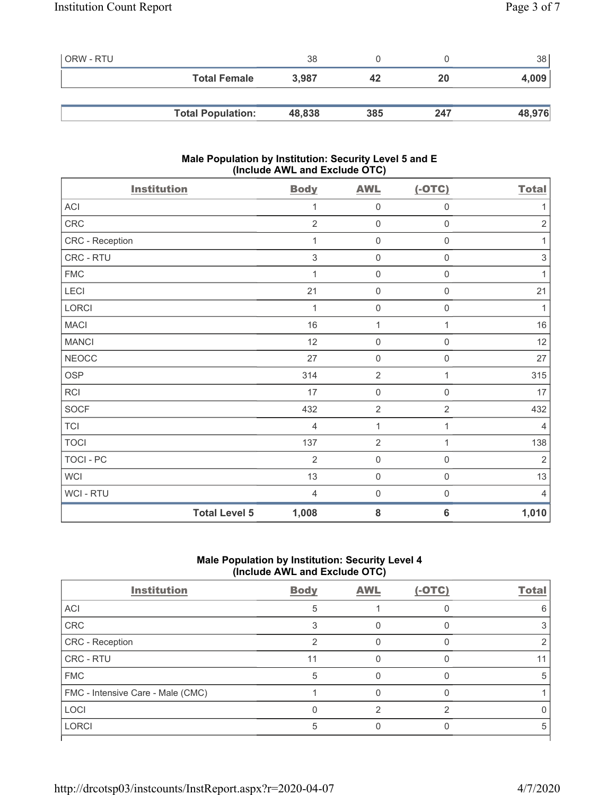| l ORW - RTU |                          | 38     |     |     | 38     |
|-------------|--------------------------|--------|-----|-----|--------|
|             | <b>Total Female</b>      | 3.987  | 42  | 20  | 4,009  |
|             |                          |        |     |     |        |
|             | <b>Total Population:</b> | 48,838 | 385 | 247 | 48,976 |

## **Male Population by Institution: Security Level 5 and E (Include AWL and Exclude OTC)**

| <b>Institution</b> | <b>Body</b>                   | <b>AWL</b>     | $(-OTC)$            | <b>Total</b>              |
|--------------------|-------------------------------|----------------|---------------------|---------------------------|
| ACI                | 1                             | $\mathbf 0$    | $\boldsymbol{0}$    | 1                         |
| CRC                | $\overline{2}$                | $\mathbf 0$    | $\mathsf{O}\xspace$ | $\sqrt{2}$                |
| CRC - Reception    | 1                             | $\mathbf 0$    | $\mathbf 0$         | 1                         |
| CRC - RTU          | 3                             | $\mathbf 0$    | $\boldsymbol{0}$    | $\ensuremath{\mathsf{3}}$ |
| <b>FMC</b>         | $\mathbf{1}$                  | $\mathbf 0$    | $\mathbf 0$         | 1                         |
| LECI               | 21                            | $\mathbf 0$    | $\boldsymbol{0}$    | 21                        |
| LORCI              | 1                             | $\mathbf 0$    | $\mathsf{O}\xspace$ | 1                         |
| <b>MACI</b>        | 16                            | $\mathbf{1}$   | 1                   | $16$                      |
| <b>MANCI</b>       | 12                            | $\mathbf 0$    | $\mathbf 0$         | 12                        |
| <b>NEOCC</b>       | 27                            | $\mathbf 0$    | $\boldsymbol{0}$    | 27                        |
| <b>OSP</b>         | 314                           | $\overline{2}$ | 1                   | 315                       |
| <b>RCI</b>         | 17                            | $\mathbf 0$    | $\mathsf{O}\xspace$ | 17                        |
| <b>SOCF</b>        | 432                           | $\overline{2}$ | $\overline{2}$      | 432                       |
| <b>TCI</b>         | $\overline{4}$                | $\mathbf{1}$   | 1                   | $\overline{4}$            |
| <b>TOCI</b>        | 137                           | $\overline{2}$ | 1                   | 138                       |
| <b>TOCI - PC</b>   | $\overline{2}$                | $\mathbf 0$    | $\mathbf 0$         | $\sqrt{2}$                |
| <b>WCI</b>         | 13                            | $\mathbf 0$    | $\mathsf 0$         | 13                        |
| WCI - RTU          | $\overline{4}$                | $\mathbf 0$    | $\mathbf 0$         | $\overline{4}$            |
|                    | <b>Total Level 5</b><br>1,008 | 8              | $6\phantom{1}6$     | 1,010                     |

# **Male Population by Institution: Security Level 4 (Include AWL and Exclude OTC)**

| <b>Institution</b>                | <b>Body</b> | <b>AWL</b> | $(-OTC)$ | <b>Total</b> |
|-----------------------------------|-------------|------------|----------|--------------|
| ACI                               | 5           |            |          |              |
| CRC                               |             |            |          |              |
| CRC - Reception                   | ◠           |            |          |              |
| CRC - RTU                         | 11          |            |          |              |
| <b>FMC</b>                        | 5           |            |          | :            |
| FMC - Intensive Care - Male (CMC) |             |            |          |              |
| <b>LOCI</b>                       |             |            | ⌒        |              |
| <b>LORCI</b>                      | 5           |            |          | 5            |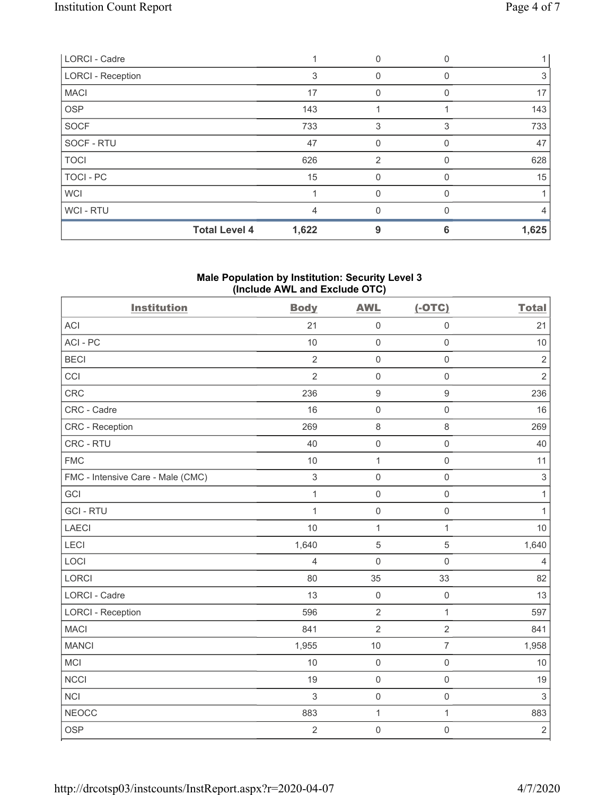| LORCI - Cadre            |       | 0        |   |       |
|--------------------------|-------|----------|---|-------|
| <b>LORCI - Reception</b> | 3     | 0        |   | 3     |
| <b>MACI</b>              | 17    | 0        |   | 17    |
| <b>OSP</b>               | 143   |          |   | 143   |
| <b>SOCF</b>              | 733   | 3        | 3 | 733   |
| SOCF - RTU               | 47    | 0        |   | 47    |
| <b>TOCI</b>              | 626   | 2        |   | 628   |
| <b>TOCI - PC</b>         | 15    | $\Omega$ | O | 15    |
| <b>WCI</b>               |       | 0        |   |       |
| WCI-RTU                  | 4     | 0        |   | 4     |
| <b>Total Level 4</b>     | 1,622 | 9        | 6 | 1,625 |

## **Male Population by Institution: Security Level 3 (Include AWL and Exclude OTC)**

| <b>Institution</b>                | <b>Body</b>    | <b>AWL</b>          | $(-OTC)$            | <b>Total</b>   |
|-----------------------------------|----------------|---------------------|---------------------|----------------|
| <b>ACI</b>                        | 21             | $\mathbf 0$         | $\mathsf 0$         | 21             |
| ACI-PC                            | 10             | $\mathbf 0$         | $\mathsf{O}\xspace$ | 10             |
| <b>BECI</b>                       | $\sqrt{2}$     | $\mathbf 0$         | $\mathsf 0$         | $\sqrt{2}$     |
| CCI                               | $\overline{2}$ | $\mathbf 0$         | $\mathsf{O}\xspace$ | $\overline{2}$ |
| CRC                               | 236            | $\hbox{9}$          | $\boldsymbol{9}$    | 236            |
| CRC - Cadre                       | 16             | $\mathbf 0$         | $\mathsf 0$         | 16             |
| CRC - Reception                   | 269            | $\,8\,$             | $\,8\,$             | 269            |
| CRC - RTU                         | 40             | $\mathsf{O}\xspace$ | $\mathsf{O}\xspace$ | 40             |
| <b>FMC</b>                        | 10             | $\mathbf{1}$        | $\mathsf{O}\xspace$ | 11             |
| FMC - Intensive Care - Male (CMC) | $\,$ 3 $\,$    | $\mathbf 0$         | $\mathsf{O}\xspace$ | $\sqrt{3}$     |
| GCI                               | $\mathbf{1}$   | $\mathbf 0$         | $\mathsf 0$         | $\mathbf{1}$   |
| <b>GCI-RTU</b>                    | $\mathbf{1}$   | $\mathbf 0$         | $\mathsf{O}\xspace$ | $\mathbf{1}$   |
| <b>LAECI</b>                      | 10             | $\mathbf 1$         | 1                   | 10             |
| LECI                              | 1,640          | $\mathbf 5$         | 5                   | 1,640          |
| LOCI                              | $\overline{4}$ | $\mathbf 0$         | $\mathbf 0$         | $\overline{4}$ |
| LORCI                             | 80             | 35                  | 33                  | 82             |
| LORCI - Cadre                     | 13             | $\mathbf 0$         | $\mathbf 0$         | 13             |
| <b>LORCI - Reception</b>          | 596            | $\overline{2}$      | $\mathbf{1}$        | 597            |
| <b>MACI</b>                       | 841            | $\overline{2}$      | $\overline{2}$      | 841            |
| <b>MANCI</b>                      | 1,955          | 10                  | $\overline{7}$      | 1,958          |
| MCI                               | 10             | $\mathbf 0$         | $\mathsf 0$         | 10             |
| <b>NCCI</b>                       | 19             | $\mathbf 0$         | $\mathsf{O}\xspace$ | 19             |
| <b>NCI</b>                        | $\mathfrak{S}$ | $\mathsf 0$         | $\mathsf 0$         | $\mathfrak{S}$ |
| <b>NEOCC</b>                      | 883            | $\mathbf 1$         | $\mathbf{1}$        | 883            |
| <b>OSP</b>                        | $\overline{2}$ | $\mathbf 0$         | $\mathbf 0$         | $\sqrt{2}$     |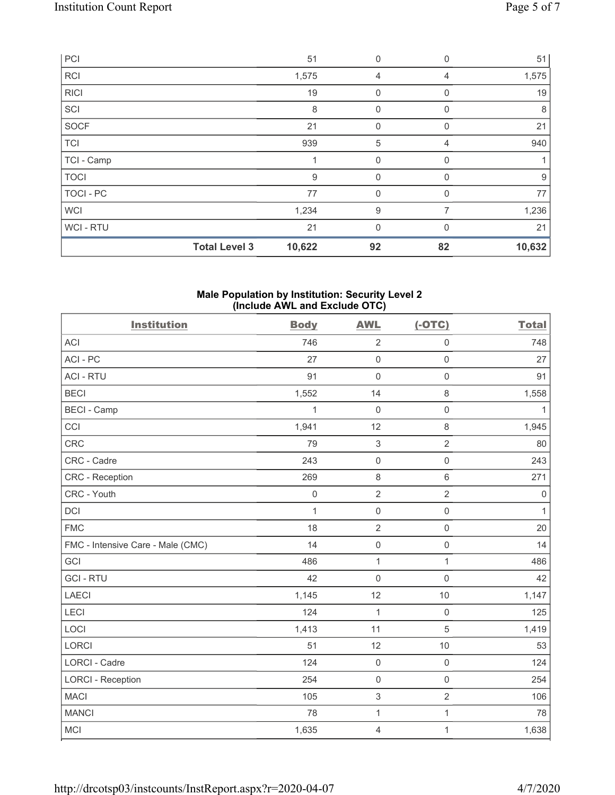| PCI              |                      | 51     | $\mathbf{0}$ | $\mathbf 0$ | 51     |
|------------------|----------------------|--------|--------------|-------------|--------|
| <b>RCI</b>       |                      | 1,575  | 4            | 4           | 1,575  |
| <b>RICI</b>      |                      | 19     | $\mathbf 0$  | 0           | 19     |
| SCI              |                      | 8      | $\mathbf 0$  | $\Omega$    | 8      |
| SOCF             |                      | 21     | $\mathbf{0}$ | $\Omega$    | 21     |
| <b>TCI</b>       |                      | 939    | 5            | 4           | 940    |
| TCI - Camp       |                      |        | $\mathbf 0$  | 0           |        |
| <b>TOCI</b>      |                      | 9      | 0            | 0           | $9\,$  |
| <b>TOCI - PC</b> |                      | 77     | $\mathbf{0}$ | 0           | 77     |
| <b>WCI</b>       |                      | 1,234  | 9            | 7           | 1,236  |
| WCI-RTU          |                      | 21     | $\mathbf{0}$ | $\Omega$    | 21     |
|                  | <b>Total Level 3</b> | 10,622 | 92           | 82          | 10,632 |

#### **Male Population by Institution: Security Level 2 (Include AWL and Exclude OTC)**

| <b>Institution</b>                | <b>Body</b>  | <b>AWL</b>                | $(-OTC)$            | <b>Total</b> |
|-----------------------------------|--------------|---------------------------|---------------------|--------------|
| <b>ACI</b>                        | 746          | $\sqrt{2}$                | $\mathsf{O}\xspace$ | 748          |
| ACI-PC                            | 27           | $\mathbf 0$               | $\mathsf 0$         | 27           |
| <b>ACI - RTU</b>                  | 91           | $\mathbf 0$               | $\mathbf 0$         | 91           |
| <b>BECI</b>                       | 1,552        | 14                        | 8                   | 1,558        |
| <b>BECI - Camp</b>                | $\mathbf 1$  | $\boldsymbol{0}$          | $\mathsf{O}\xspace$ | $\mathbf{1}$ |
| CCI                               | 1,941        | 12                        | 8                   | 1,945        |
| <b>CRC</b>                        | 79           | $\sqrt{3}$                | $\overline{2}$      | 80           |
| CRC - Cadre                       | 243          | $\mathbf 0$               | $\mathbf 0$         | 243          |
| CRC - Reception                   | 269          | $\,8\,$                   | 6                   | 271          |
| CRC - Youth                       | $\mathbf 0$  | $\sqrt{2}$                | $\overline{2}$      | $\mathbf 0$  |
| <b>DCI</b>                        | $\mathbf{1}$ | $\mathbf 0$               | $\mathsf{O}\xspace$ | $\mathbf{1}$ |
| <b>FMC</b>                        | 18           | $\overline{2}$            | $\mathsf{O}\xspace$ | 20           |
| FMC - Intensive Care - Male (CMC) | 14           | $\mathbf 0$               | $\mathsf{O}\xspace$ | 14           |
| GCI                               | 486          | $\mathbf{1}$              | $\mathbf{1}$        | 486          |
| <b>GCI-RTU</b>                    | 42           | $\mathbf 0$               | $\mathbf 0$         | 42           |
| <b>LAECI</b>                      | 1,145        | 12                        | 10                  | 1,147        |
| LECI                              | 124          | $\mathbf{1}$              | $\mathsf{O}\xspace$ | 125          |
| LOCI                              | 1,413        | 11                        | 5                   | 1,419        |
| LORCI                             | 51           | 12                        | 10                  | 53           |
| <b>LORCI - Cadre</b>              | 124          | $\mathbf 0$               | $\mathsf{O}\xspace$ | 124          |
| <b>LORCI - Reception</b>          | 254          | $\mathbf 0$               | $\mathbf 0$         | 254          |
| <b>MACI</b>                       | 105          | $\ensuremath{\mathsf{3}}$ | $\overline{2}$      | 106          |
| <b>MANCI</b>                      | 78           | $\mathbf 1$               | 1                   | 78           |
| <b>MCI</b>                        | 1,635        | $\overline{4}$            | $\mathbf{1}$        | 1,638        |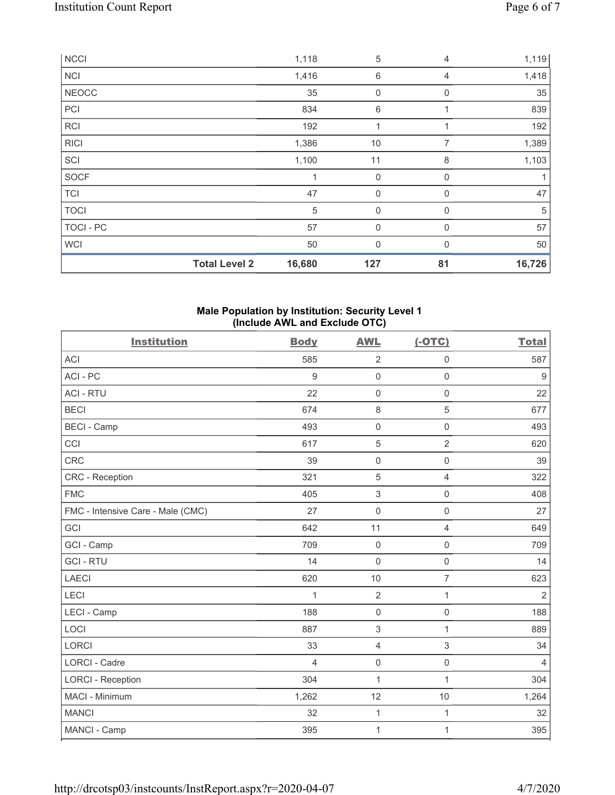|              | <b>Total Level 2</b> | 16,680 | 127            | 81           | 16,726 |
|--------------|----------------------|--------|----------------|--------------|--------|
| <b>WCI</b>   |                      | 50     | $\mathbf{0}$   | $\Omega$     | 50     |
| TOCI - PC    |                      | 57     | $\overline{0}$ | $\mathbf{0}$ | 57     |
| <b>TOCI</b>  |                      | 5      | $\mathbf{0}$   | $\mathbf{0}$ | 5      |
| <b>TCI</b>   |                      | 47     | 0              | 0            | 47     |
| <b>SOCF</b>  |                      |        | $\mathbf 0$    | 0            | 1      |
| SCI          |                      | 1,100  | 11             | 8            | 1,103  |
| <b>RICI</b>  |                      | 1,386  | 10             | 7            | 1,389  |
| <b>RCI</b>   |                      | 192    | 1              | 1            | 192    |
| PCI          |                      | 834    | 6              |              | 839    |
| <b>NEOCC</b> |                      | 35     | 0              | 0            | 35     |
| <b>NCI</b>   |                      | 1,416  | $\,6\,$        | 4            | 1,418  |
| <b>NCCI</b>  |                      | 1,118  | 5              | 4            | 1,119  |

#### **Male Population by Institution: Security Level 1 (Include AWL and Exclude OTC)**

| <b>Institution</b>                | <b>Body</b>    | <b>AWL</b>          | $(-OTC)$            | <b>Total</b>     |
|-----------------------------------|----------------|---------------------|---------------------|------------------|
| <b>ACI</b>                        | 585            | $\overline{2}$      | 0                   | 587              |
| ACI-PC                            | $9\,$          | $\mathsf{O}\xspace$ | $\mathsf{O}\xspace$ | $\boldsymbol{9}$ |
| <b>ACI - RTU</b>                  | 22             | $\mathsf{O}\xspace$ | $\mathbf 0$         | 22               |
| <b>BECI</b>                       | 674            | $\,8\,$             | 5                   | 677              |
| <b>BECI - Camp</b>                | 493            | $\mathsf{O}\xspace$ | $\mathsf{O}\xspace$ | 493              |
| CCI                               | 617            | $\sqrt{5}$          | $\overline{2}$      | 620              |
| CRC                               | 39             | $\mathsf{O}\xspace$ | $\mathbf 0$         | 39               |
| CRC - Reception                   | 321            | 5                   | $\overline{4}$      | 322              |
| <b>FMC</b>                        | 405            | $\mathfrak{Z}$      | $\mathsf{O}\xspace$ | 408              |
| FMC - Intensive Care - Male (CMC) | 27             | $\mathsf{O}\xspace$ | $\mathbf 0$         | 27               |
| GCI                               | 642            | 11                  | $\overline{4}$      | 649              |
| GCI - Camp                        | 709            | $\mathsf{O}\xspace$ | 0                   | 709              |
| <b>GCI-RTU</b>                    | 14             | $\mathsf 0$         | $\mathbf 0$         | 14               |
| <b>LAECI</b>                      | 620            | 10                  | $\overline{7}$      | 623              |
| LECI                              | 1              | $\overline{2}$      | $\mathbf{1}$        | $\overline{2}$   |
| LECI - Camp                       | 188            | $\mathbf 0$         | $\mathsf 0$         | 188              |
| LOCI                              | 887            | 3                   | $\mathbf{1}$        | 889              |
| <b>LORCI</b>                      | 33             | $\overline{4}$      | $\mathfrak{S}$      | 34               |
| LORCI - Cadre                     | $\overline{4}$ | $\mathsf{O}\xspace$ | $\mathsf 0$         | $\overline{4}$   |
| <b>LORCI - Reception</b>          | 304            | $\mathbf{1}$        | $\mathbf{1}$        | 304              |
| <b>MACI - Minimum</b>             | 1,262          | 12                  | 10                  | 1,264            |
| <b>MANCI</b>                      | 32             | $\mathbf{1}$        | 1                   | 32               |
| MANCI - Camp                      | 395            | 1                   | 1                   | 395              |